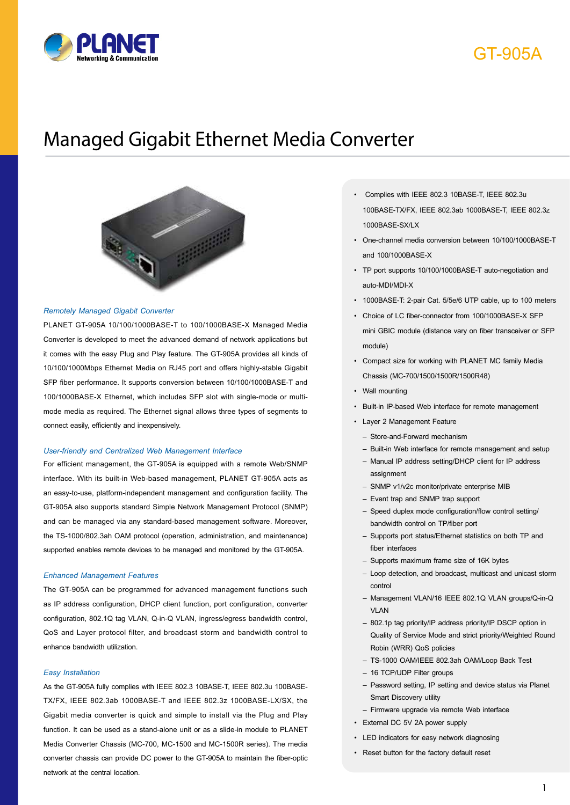

# GT-905A

# Managed Gigabit Ethernet Media Converter



#### *Remotely Managed Gigabit Converter*

PLANET GT-905A 10/100/1000BASE-T to 100/1000BASE-X Managed Media Converter is developed to meet the advanced demand of network applications but it comes with the easy Plug and Play feature. The GT-905A provides all kinds of 10/100/1000Mbps Ethernet Media on RJ45 port and offers highly-stable Gigabit SFP fiber performance. It supports conversion between 10/100/1000BASE-T and 100/1000BASE-X Ethernet, which includes SFP slot with single-mode or multimode media as required. The Ethernet signal allows three types of segments to connect easily, efficiently and inexpensively.

#### *User-friendly and Centralized Web Management Interface*

For efficient management, the GT-905A is equipped with a remote Web/SNMP interface. With its built-in Web-based management, PLANET GT-905A acts as an easy-to-use, platform-independent management and configuration facility. The GT-905A also supports standard Simple Network Management Protocol (SNMP) and can be managed via any standard-based management software. Moreover, the TS-1000/802.3ah OAM protocol (operation, administration, and maintenance) supported enables remote devices to be managed and monitored by the GT-905A.

#### *Enhanced Management Features*

The GT-905A can be programmed for advanced management functions such as IP address configuration, DHCP client function, port configuration, converter configuration, 802.1Q tag VLAN, Q-in-Q VLAN, ingress/egress bandwidth control, QoS and Layer protocol filter, and broadcast storm and bandwidth control to enhance bandwidth utilization.

#### *Easy Installation*

As the GT-905A fully complies with IEEE 802.3 10BASE-T, IEEE 802.3u 100BASE-TX/FX, IEEE 802.3ab 1000BASE-T and IEEE 802.3z 1000BASE-LX/SX, the Gigabit media converter is quick and simple to install via the Plug and Play function. It can be used as a stand-alone unit or as a slide-in module to PLANET Media Converter Chassis (MC-700, MC-1500 and MC-1500R series). The media converter chassis can provide DC power to the GT-905A to maintain the fiber-optic network at the central location.

- Complies with IEEE 802.3 10BASE-T, IEEE 802.3u 100BASE-TX/FX, IEEE 802.3ab 1000BASE-T, IEEE 802.3z 1000BASE-SX/LX
- One-channel media conversion between 10/100/1000BASE-T and 100/1000BASE-X
- TP port supports 10/100/1000BASE-T auto-negotiation and auto-MDI/MDI-X
- 1000BASE-T: 2-pair Cat. 5/5e/6 UTP cable, up to 100 meters
- Choice of LC fiber-connector from 100/1000BASE-X SFP mini GBIC module (distance vary on fiber transceiver or SFP module)
- Compact size for working with PLANET MC family Media Chassis (MC-700/1500/1500R/1500R48)
- Wall mounting
- Built-in IP-based Web interface for remote management
- Layer 2 Management Feature
	- Store-and-Forward mechanism
	- Built-in Web interface for remote management and setup
	- Manual IP address setting/DHCP client for IP address assignment
	- SNMP v1/v2c monitor/private enterprise MIB
	- Event trap and SNMP trap support
	- Speed duplex mode configuration/flow control setting/ bandwidth control on TP/fiber port
	- Supports port status/Ethernet statistics on both TP and fiber interfaces
	- Supports maximum frame size of 16K bytes
	- Loop detection, and broadcast, multicast and unicast storm control
	- Management VLAN/16 IEEE 802.1Q VLAN groups/Q-in-Q VLAN
	- 802.1p tag priority/IP address priority/IP DSCP option in Quality of Service Mode and strict priority/Weighted Round Robin (WRR) QoS policies
	- TS-1000 OAM/IEEE 802.3ah OAM/Loop Back Test
	- 16 TCP/UDP Filter groups
	- Password setting, IP setting and device status via Planet Smart Discovery utility
	- Firmware upgrade via remote Web interface
- External DC 5V 2A power supply
- LED indicators for easy network diagnosing
- Reset button for the factory default reset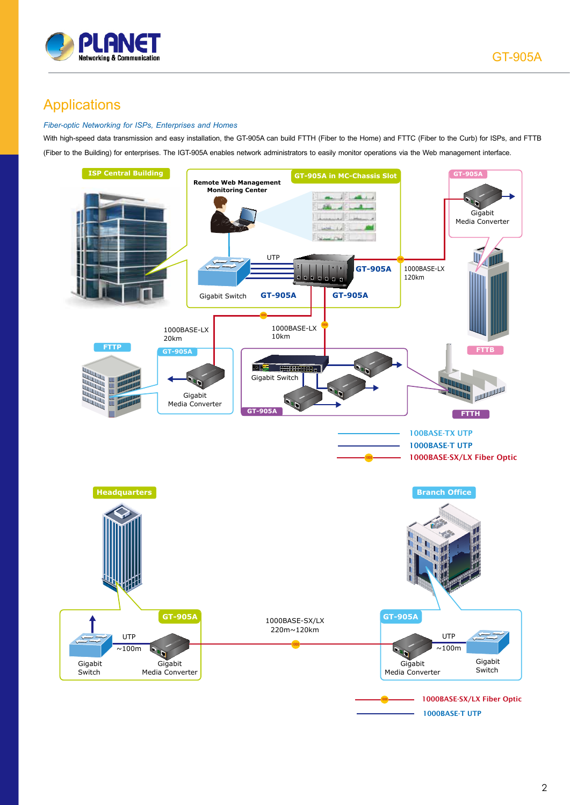

# Applications

### *Fiber-optic Networking for ISPs, Enterprises and Homes*

With high-speed data transmission and easy installation, the GT-905A can build FTTH (Fiber to the Home) and FTTC (Fiber to the Curb) for ISPs, and FTTB (Fiber to the Building) for enterprises. The IGT-905A enables network administrators to easily monitor operations via the Web management interface.

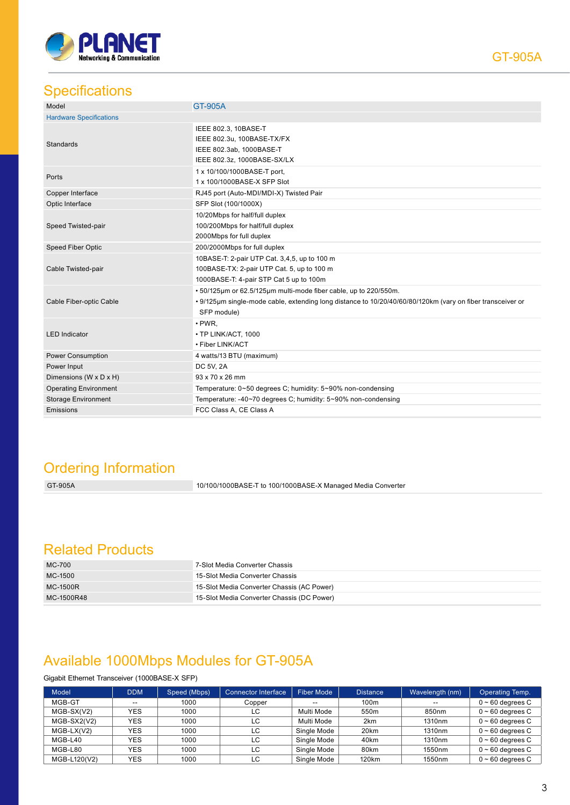

## **Specifications**

| Model                                                                                                                             | GT-905A                                                                                                                                                                                       |  |  |  |
|-----------------------------------------------------------------------------------------------------------------------------------|-----------------------------------------------------------------------------------------------------------------------------------------------------------------------------------------------|--|--|--|
| <b>Hardware Specifications</b>                                                                                                    |                                                                                                                                                                                               |  |  |  |
| IEEE 802.3, 10BASE-T<br>IEEE 802.3u, 100BASE-TX/FX<br><b>Standards</b><br>IEEE 802.3ab, 1000BASE-T<br>IEEE 802.3z, 1000BASE-SX/LX |                                                                                                                                                                                               |  |  |  |
| Ports                                                                                                                             | 1 x 10/100/1000BASE-T port,<br>1 x 100/1000BASE-X SFP Slot                                                                                                                                    |  |  |  |
| Copper Interface                                                                                                                  | RJ45 port (Auto-MDI/MDI-X) Twisted Pair                                                                                                                                                       |  |  |  |
| Optic Interface                                                                                                                   | SFP Slot (100/1000X)                                                                                                                                                                          |  |  |  |
| Speed Twisted-pair                                                                                                                | 10/20Mbps for half/full duplex<br>100/200Mbps for half/full duplex<br>2000Mbps for full duplex                                                                                                |  |  |  |
| <b>Speed Fiber Optic</b>                                                                                                          | 200/2000Mbps for full duplex                                                                                                                                                                  |  |  |  |
| Cable Twisted-pair                                                                                                                | 10BASE-T: 2-pair UTP Cat. 3,4,5, up to 100 m<br>100BASE-TX: 2-pair UTP Cat. 5, up to 100 m<br>1000BASE-T: 4-pair STP Cat 5 up to 100m                                                         |  |  |  |
| Cable Fiber-optic Cable                                                                                                           | . 50/125µm or 62.5/125µm multi-mode fiber cable, up to 220/550m.<br>. 9/125µm single-mode cable, extending long distance to 10/20/40/60/80/120km (vary on fiber transceiver or<br>SFP module) |  |  |  |
| <b>LED</b> Indicator                                                                                                              | $\cdot$ PWR,<br>• TP LINK/ACT, 1000<br>• Fiber LINK/ACT                                                                                                                                       |  |  |  |
| Power Consumption                                                                                                                 | 4 watts/13 BTU (maximum)                                                                                                                                                                      |  |  |  |
| Power Input                                                                                                                       | DC 5V, 2A                                                                                                                                                                                     |  |  |  |
| Dimensions (W x D x H)                                                                                                            | 93 x 70 x 26 mm                                                                                                                                                                               |  |  |  |
| <b>Operating Environment</b>                                                                                                      | Temperature: 0~50 degrees C; humidity: 5~90% non-condensing                                                                                                                                   |  |  |  |
| <b>Storage Environment</b>                                                                                                        | Temperature: -40~70 degrees C; humidity: 5~90% non-condensing                                                                                                                                 |  |  |  |
| Emissions                                                                                                                         | FCC Class A. CE Class A                                                                                                                                                                       |  |  |  |

# Ordering Information

GT-905A 10/100/1000BASE-T to 100/1000BASE-X Managed Media Converter

### Related Products

| MC-700     | 7-Slot Media Converter Chassis             |
|------------|--------------------------------------------|
| MC-1500    | 15-Slot Media Converter Chassis            |
| MC-1500R   | 15-Slot Media Converter Chassis (AC Power) |
| MC-1500R48 | 15-Slot Media Converter Chassis (DC Power) |

## Available 1000Mbps Modules for GT-905A

### Gigabit Ethernet Transceiver (1000BASE-X SFP)

| <b>Model</b> | DDM        | Speed (Mbps) | <b>Connector Interface</b> | Fiber Mode  | <b>Distance</b>   | Wavelength (nm) | Operating Temp.       |
|--------------|------------|--------------|----------------------------|-------------|-------------------|-----------------|-----------------------|
| MGB-GT       | $- -$      | 1000         | Copper                     | --          | 100m              | --              | $0 \sim 60$ degrees C |
| $MGB-SX(V2)$ | <b>YES</b> | 1000         | LC.                        | Multi Mode  | 550 <sub>m</sub>  | 850nm           | $0 \sim 60$ degrees C |
| MGB-SX2(V2)  | <b>YES</b> | 1000         | LC                         | Multi Mode  | 2 <sub>km</sub>   | 1310nm          | $0 \sim 60$ degrees C |
| $MGB-LX(V2)$ | <b>YES</b> | 1000         | LC.                        | Single Mode | 20 <sub>km</sub>  | 1310nm          | $0 \sim 60$ degrees C |
| MGB-L40      | <b>YES</b> | 1000         | LC.                        | Single Mode | 40 <sub>km</sub>  | 1310nm          | $0 \sim 60$ degrees C |
| MGB-L80      | <b>YES</b> | 1000         | LC                         | Single Mode | 80km              | 1550nm          | $0 \sim 60$ degrees C |
| MGB-L120(V2) | <b>YES</b> | 1000         | LC                         | Single Mode | 120 <sub>km</sub> | 1550nm          | $0 \sim 60$ degrees C |

GT-905A